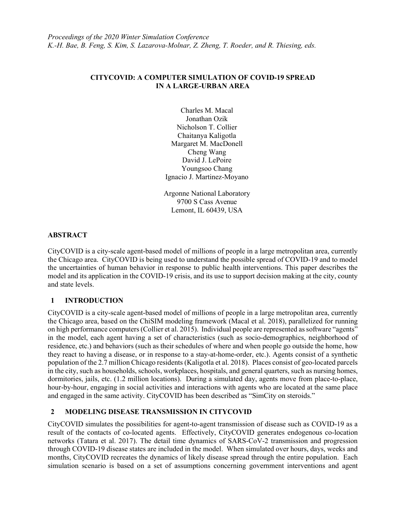## CITYCOVID: A COMPUTER SIMULATION OF COVID-19 SPREAD IN A LARGE-URBAN AREA

Charles M. Macal Jonathan Ozik Nicholson T. Collier Chaitanya Kaligotla Margaret M. MacDonell Cheng Wang David J. LePoire Youngsoo Chang Ignacio J. Martinez-Moyano

Argonne National Laboratory 9700 S Cass Avenue Lemont, IL 60439, USA

### **ABSTRACT**

CityCOVID is a city-scale agent-based model of millions of people in a large metropolitan area, currently the Chicago area. CityCOVID is being used to understand the possible spread of COVID-19 and to model the uncertainties of human behavior in response to public health interventions. This paper describes the model and its application in the COVID-19 crisis, and its use to support decision making at the city, county and state levels.

# 1 INTRODUCTION

CityCOVID is a city-scale agent-based model of millions of people in a large metropolitan area, currently the Chicago area, based on the ChiSIM modeling framework (Macal et al. 2018), parallelized for running on high performance computers (Collier et al. 2015). Individual people are represented as software "agents" in the model, each agent having a set of characteristics (such as socio-demographics, neighborhood of residence, etc.) and behaviors (such as their schedules of where and when people go outside the home, how they react to having a disease, or in response to a stay-at-home-order, etc.). Agents consist of a synthetic population of the 2.7 million Chicago residents (Kaligotla et al. 2018). Places consist of geo-located parcels in the city, such as households, schools, workplaces, hospitals, and general quarters, such as nursing homes, dormitories, jails, etc. (1.2 million locations). During a simulated day, agents move from place-to-place, hour-by-hour, engaging in social activities and interactions with agents who are located at the same place and engaged in the same activity. CityCOVID has been described as "SimCity on steroids."

# 2 MODELING DISEASE TRANSMISSION IN CITYCOVID

CityCOVID simulates the possibilities for agent-to-agent transmission of disease such as COVID-19 as a result of the contacts of co-located agents. Effectively, CityCOVID generates endogenous co-location networks (Tatara et al. 2017). The detail time dynamics of SARS-CoV-2 transmission and progression through COVID-19 disease states are included in the model. When simulated over hours, days, weeks and months, CityCOVID recreates the dynamics of likely disease spread through the entire population. Each simulation scenario is based on a set of assumptions concerning government interventions and agent